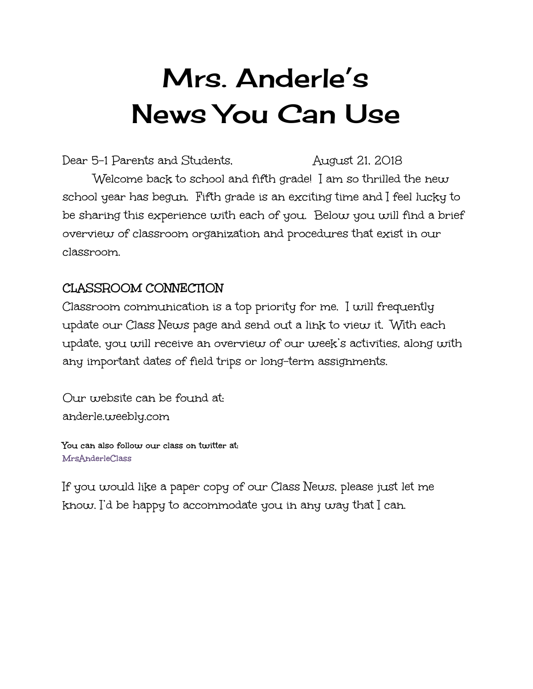# Mrs. Anderle's News You Can Use

Dear 5-1 Parents and Students, August 21, 2018 Welcome back to school and fifth grade! I am so thrilled the new school year has begun. Fifth grade is an exciting time and I feel lucky to be sharing this experience with each of you. Below you will find a brief overview of classroom organization and procedures that exist in our classroom.

# **CLASSROOM CONNECTION**

Classroom communication is a top priority for me. I will frequently update our Class News page and send out a link to view it. With each update, you will receive an overview of our week's activities, along with any important dates of field trips or long-term assignments.

Our website can be found at: anderle.weebly.com

**You can also follow our class on twitter at: MrsAnderleClass**

If you would like a paper copy of our Class News, please just let me know. I'd be happy to accommodate you in any way that I can.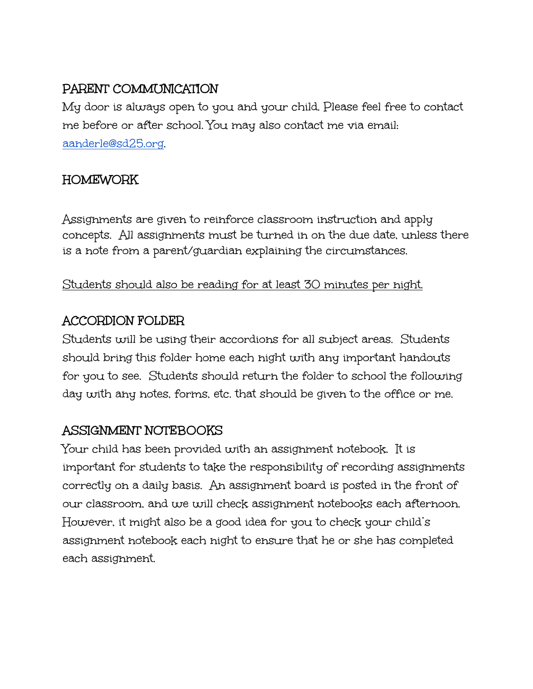# **PARENT COMMUNICATION**

My door is always open to you and your child. Please feel free to contact me before or after school. You may also contact me via email: [aanderle@sd25.org](mailto:aanderle@sd25.org).

# **HOMEWORK**

Assignments are given to reinforce classroom instruction and apply concepts. All assignments must be turned in on the due date, unless there is a note from a parent/guardian explaining the circumstances.

#### Students should also be reading for at least 30 minutes per night.

# **ACCORDION FOLDER**

Students will be using their accordions for all subject areas. Students should bring this folder home each night with any important handouts for you to see. Students should return the folder to school the following day with any notes, forms, etc. that should be given to the office or me.

# **ASSIGNMENT NOTEBOOKS**

Your child has been provided with an assignment notebook. It is important for students to take the responsibility of recording assignments correctly on a daily basis. An assignment board is posted in the front of our classroom, and we will check assignment notebooks each afternoon. However, it might also be a good idea for you to check your child's assignment notebook each night to ensure that he or she has completed each assignment.